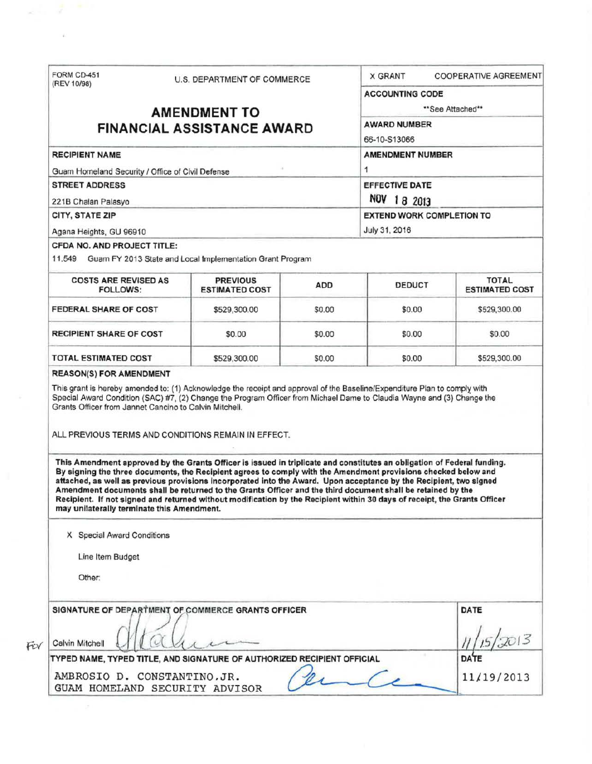| (REV 10/98)                                                                                                             | FORM CD-451<br>U.S. DEPARTMENT OF COMMERCE |                                                                                                                                                                                                                                                                                                                                                                                                                                                                                                                                                                                                             | COOPERATIVE AGREEMENT<br><b>X GRANT</b> |                         |                                       |  |
|-------------------------------------------------------------------------------------------------------------------------|--------------------------------------------|-------------------------------------------------------------------------------------------------------------------------------------------------------------------------------------------------------------------------------------------------------------------------------------------------------------------------------------------------------------------------------------------------------------------------------------------------------------------------------------------------------------------------------------------------------------------------------------------------------------|-----------------------------------------|-------------------------|---------------------------------------|--|
|                                                                                                                         |                                            |                                                                                                                                                                                                                                                                                                                                                                                                                                                                                                                                                                                                             |                                         | <b>ACCOUNTING CODE</b>  |                                       |  |
|                                                                                                                         |                                            | <b>AMENDMENT TO</b>                                                                                                                                                                                                                                                                                                                                                                                                                                                                                                                                                                                         |                                         |                         | "See Attached"                        |  |
|                                                                                                                         |                                            | <b>FINANCIAL ASSISTANCE AWARD</b>                                                                                                                                                                                                                                                                                                                                                                                                                                                                                                                                                                           |                                         | <b>AWARD NUMBER</b>     |                                       |  |
|                                                                                                                         |                                            |                                                                                                                                                                                                                                                                                                                                                                                                                                                                                                                                                                                                             |                                         | 66-10-S13066            |                                       |  |
| <b>RECIPIENT NAME</b>                                                                                                   |                                            |                                                                                                                                                                                                                                                                                                                                                                                                                                                                                                                                                                                                             |                                         | <b>AMENDMENT NUMBER</b> |                                       |  |
| Guam Homeland Security / Office of Civil Defense                                                                        |                                            |                                                                                                                                                                                                                                                                                                                                                                                                                                                                                                                                                                                                             |                                         | 1                       |                                       |  |
| <b>STREET ADDRESS</b>                                                                                                   |                                            |                                                                                                                                                                                                                                                                                                                                                                                                                                                                                                                                                                                                             |                                         | <b>EFFECTIVE DATE</b>   |                                       |  |
| 221B Chalan Palasyo                                                                                                     |                                            |                                                                                                                                                                                                                                                                                                                                                                                                                                                                                                                                                                                                             |                                         | NOV 18 2013             |                                       |  |
| CITY, STATE ZIP                                                                                                         |                                            |                                                                                                                                                                                                                                                                                                                                                                                                                                                                                                                                                                                                             |                                         |                         | <b>EXTEND WORK COMPLETION TO</b>      |  |
| Agana Heights, GU 96910                                                                                                 |                                            |                                                                                                                                                                                                                                                                                                                                                                                                                                                                                                                                                                                                             |                                         | July 31, 2016           |                                       |  |
| CFDA NO. AND PROJECT TITLE:                                                                                             |                                            |                                                                                                                                                                                                                                                                                                                                                                                                                                                                                                                                                                                                             |                                         |                         |                                       |  |
|                                                                                                                         |                                            | 11.549 Guam FY 2013 State and Local Implementation Grant Program                                                                                                                                                                                                                                                                                                                                                                                                                                                                                                                                            |                                         |                         |                                       |  |
| <b>COSTS ARE REVISED AS</b><br><b>FOLLOWS:</b>                                                                          |                                            | <b>PREVIOUS</b><br><b>ESTIMATED COST</b>                                                                                                                                                                                                                                                                                                                                                                                                                                                                                                                                                                    | <b>ADD</b>                              | <b>DEDUCT</b>           | <b>TOTAL</b><br><b>ESTIMATED COST</b> |  |
| FEDERAL SHARE OF COST                                                                                                   |                                            | \$529,300.00                                                                                                                                                                                                                                                                                                                                                                                                                                                                                                                                                                                                | \$0.00                                  | \$0.00                  | \$529,300.00                          |  |
| <b>RECIPIENT SHARE OF COST</b>                                                                                          |                                            | \$0.00                                                                                                                                                                                                                                                                                                                                                                                                                                                                                                                                                                                                      | \$0.00                                  | \$0.00                  | \$0.00                                |  |
|                                                                                                                         |                                            |                                                                                                                                                                                                                                                                                                                                                                                                                                                                                                                                                                                                             |                                         |                         |                                       |  |
|                                                                                                                         |                                            |                                                                                                                                                                                                                                                                                                                                                                                                                                                                                                                                                                                                             |                                         |                         |                                       |  |
|                                                                                                                         |                                            | \$529,300.00<br>This grant is hereby amended to: (1) Acknowledge the receipt and approval of the Baseline/Expenditure Plan to comply with<br>Special Award Condition (SAC) #7, (2) Change the Program Officer from Michael Dame to Claudia Wayne and (3) Change the                                                                                                                                                                                                                                                                                                                                         | \$0.00                                  | \$0.00                  | \$529,300.00                          |  |
| <b>TOTAL ESTIMATED COST</b><br><b>REASON(S) FOR AMENDMENT</b><br>Grants Officer from Jannet Cancino to Calvin Mitchell. |                                            | ALL PREVIOUS TERMS AND CONDITIONS REMAIN IN EFFECT.                                                                                                                                                                                                                                                                                                                                                                                                                                                                                                                                                         |                                         |                         |                                       |  |
| may unilaterally terminate this Amendment.                                                                              |                                            | This Amendment approved by the Grants Officer is issued in triplicate and constitutes an obligation of Federal funding.<br>By signing the three documents, the Recipient agrees to comply with the Amendment provisions checked below and<br>attached, as well as previous provisions incorporated into the Award. Upon acceptance by the Recipient, two signed<br>Amendment documents shall be returned to the Grants Officer and the third document shall be retained by the<br>Recipient. If not signed and returned without modification by the Recipient within 30 days of receipt, the Grants Officer |                                         |                         |                                       |  |
| X Special Award Conditions                                                                                              |                                            |                                                                                                                                                                                                                                                                                                                                                                                                                                                                                                                                                                                                             |                                         |                         |                                       |  |
| Line Item Budget                                                                                                        |                                            |                                                                                                                                                                                                                                                                                                                                                                                                                                                                                                                                                                                                             |                                         |                         |                                       |  |
|                                                                                                                         |                                            |                                                                                                                                                                                                                                                                                                                                                                                                                                                                                                                                                                                                             |                                         |                         |                                       |  |
| Other:                                                                                                                  |                                            |                                                                                                                                                                                                                                                                                                                                                                                                                                                                                                                                                                                                             |                                         |                         |                                       |  |
|                                                                                                                         |                                            | SIGNATURE OF DEPARTMENT OF COMMERCE GRANTS OFFICER                                                                                                                                                                                                                                                                                                                                                                                                                                                                                                                                                          |                                         |                         | DATE                                  |  |
|                                                                                                                         |                                            |                                                                                                                                                                                                                                                                                                                                                                                                                                                                                                                                                                                                             |                                         |                         |                                       |  |
| Calvin Mitchell                                                                                                         |                                            |                                                                                                                                                                                                                                                                                                                                                                                                                                                                                                                                                                                                             |                                         |                         |                                       |  |
| AMBROSIO D. CONSTANTINO.JR.                                                                                             |                                            | TYPED NAME, TYPED TITLE, AND SIGNATURE OF AUTHORIZED RECIPIENT OFFICIAL                                                                                                                                                                                                                                                                                                                                                                                                                                                                                                                                     |                                         |                         | <b>DATE</b><br>11/19/2013             |  |